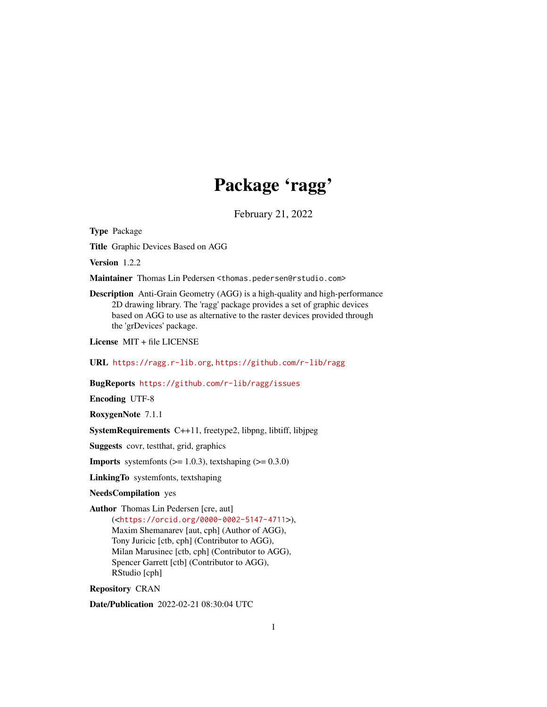## Package 'ragg'

February 21, 2022

Type Package

Title Graphic Devices Based on AGG

Version 1.2.2

Maintainer Thomas Lin Pedersen <thomas.pedersen@rstudio.com>

Description Anti-Grain Geometry (AGG) is a high-quality and high-performance 2D drawing library. The 'ragg' package provides a set of graphic devices based on AGG to use as alternative to the raster devices provided through the 'grDevices' package.

License MIT + file LICENSE

URL <https://ragg.r-lib.org>, <https://github.com/r-lib/ragg>

BugReports <https://github.com/r-lib/ragg/issues>

Encoding UTF-8

RoxygenNote 7.1.1

SystemRequirements C++11, freetype2, libpng, libtiff, libjpeg

Suggests covr, testthat, grid, graphics

**Imports** systemfonts  $(>= 1.0.3)$ , textshaping  $(>= 0.3.0)$ 

LinkingTo systemfonts, textshaping

NeedsCompilation yes

Author Thomas Lin Pedersen [cre, aut] (<<https://orcid.org/0000-0002-5147-4711>>), Maxim Shemanarev [aut, cph] (Author of AGG), Tony Juricic [ctb, cph] (Contributor to AGG), Milan Marusinec [ctb, cph] (Contributor to AGG), Spencer Garrett [ctb] (Contributor to AGG), RStudio [cph]

Repository CRAN

Date/Publication 2022-02-21 08:30:04 UTC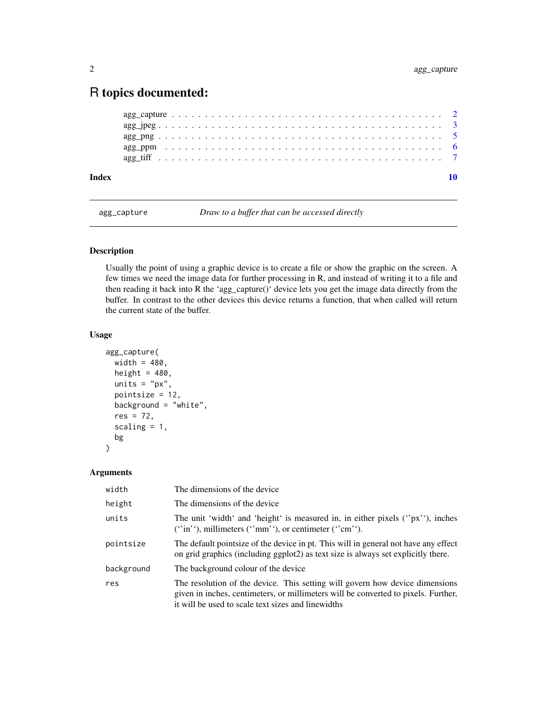### <span id="page-1-0"></span>R topics documented:

| Index |  |  |  |  |  |  |  |  |  |  |  |  |  |  |  |  |  |  |  |  |
|-------|--|--|--|--|--|--|--|--|--|--|--|--|--|--|--|--|--|--|--|--|
|       |  |  |  |  |  |  |  |  |  |  |  |  |  |  |  |  |  |  |  |  |
|       |  |  |  |  |  |  |  |  |  |  |  |  |  |  |  |  |  |  |  |  |
|       |  |  |  |  |  |  |  |  |  |  |  |  |  |  |  |  |  |  |  |  |
|       |  |  |  |  |  |  |  |  |  |  |  |  |  |  |  |  |  |  |  |  |
|       |  |  |  |  |  |  |  |  |  |  |  |  |  |  |  |  |  |  |  |  |

agg\_capture *Draw to a buffer that can be accessed directly*

#### Description

Usually the point of using a graphic device is to create a file or show the graphic on the screen. A few times we need the image data for further processing in R, and instead of writing it to a file and then reading it back into R the 'agg\_capture()' device lets you get the image data directly from the buffer. In contrast to the other devices this device returns a function, that when called will return the current state of the buffer.

#### Usage

```
agg_capture(
 width = 480,
 height = 480,
 units = "px",pointsize = 12,
  background = "white",
  res = 72,
  scaling = 1,
  bg
)
```
#### Arguments

| width      | The dimensions of the device                                                                                                                                                                                             |
|------------|--------------------------------------------------------------------------------------------------------------------------------------------------------------------------------------------------------------------------|
| height     | The dimensions of the device                                                                                                                                                                                             |
| units      | The unit 'width' and 'height' is measured in, in either pixels ( $\gamma$ px'), inches<br>$('in'),$ millimeters $('mm'),$ or centimeter $('cm').$                                                                        |
| pointsize  | The default point size of the device in pt. This will in general not have any effect<br>on grid graphics (including ggplot2) as text size is always set explicitly there.                                                |
| background | The background colour of the device                                                                                                                                                                                      |
| res        | The resolution of the device. This setting will govern how device dimensions<br>given in inches, centimeters, or millimeters will be converted to pixels. Further,<br>it will be used to scale text sizes and linewidths |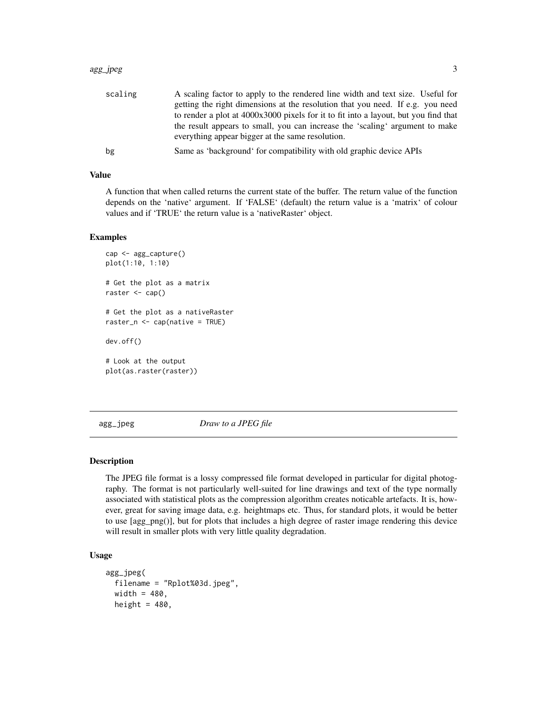#### <span id="page-2-0"></span>agg\_jpeg 3

| scaling | A scaling factor to apply to the rendered line width and text size. Useful for      |
|---------|-------------------------------------------------------------------------------------|
|         | getting the right dimensions at the resolution that you need. If e.g. you need      |
|         | to render a plot at 4000x3000 pixels for it to fit into a layout, but you find that |
|         | the result appears to small, you can increase the 'scaling' argument to make        |
|         | everything appear bigger at the same resolution.                                    |
| bg      | Same as 'background' for compatibility with old graphic device APIs                 |

#### Value

A function that when called returns the current state of the buffer. The return value of the function depends on the 'native' argument. If 'FALSE' (default) the return value is a 'matrix' of colour values and if 'TRUE' the return value is a 'nativeRaster' object.

#### Examples

```
cap <- agg_capture()
plot(1:10, 1:10)
# Get the plot as a matrix
raster <- cap()
# Get the plot as a nativeRaster
raster_n <- cap(native = TRUE)
dev.off()
# Look at the output
plot(as.raster(raster))
```
agg\_jpeg *Draw to a JPEG file*

#### **Description**

The JPEG file format is a lossy compressed file format developed in particular for digital photography. The format is not particularly well-suited for line drawings and text of the type normally associated with statistical plots as the compression algorithm creates noticable artefacts. It is, however, great for saving image data, e.g. heightmaps etc. Thus, for standard plots, it would be better to use [agg\_png()], but for plots that includes a high degree of raster image rendering this device will result in smaller plots with very little quality degradation.

#### Usage

```
agg_jpeg(
 filename = "Rplot%03d.jpeg",
  width = 480,
  height = 480,
```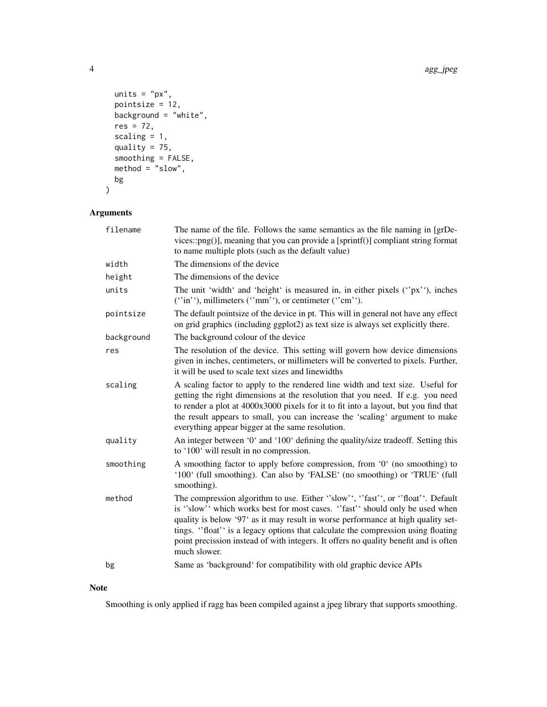```
units = "px",pointsize = 12,
  background = "white",
  res = 72,
  scaling = 1,
  quality = 75,
  smoothing = FALSE,
 \text{method} = "slow",bg
\mathcal{L}
```
#### Arguments

| filename   | The name of the file. Follows the same semantics as the file naming in [grDe-<br>vices::png()], meaning that you can provide a [sprintf()] compliant string format<br>to name multiple plots (such as the default value)                                                                                                                                                                                                                   |
|------------|--------------------------------------------------------------------------------------------------------------------------------------------------------------------------------------------------------------------------------------------------------------------------------------------------------------------------------------------------------------------------------------------------------------------------------------------|
| width      | The dimensions of the device                                                                                                                                                                                                                                                                                                                                                                                                               |
| height     | The dimensions of the device                                                                                                                                                                                                                                                                                                                                                                                                               |
| units      | The unit 'width' and 'height' is measured in, in either pixels ("px"), inches<br>$('in');$ millimeters $('mm');$ or centimeter $('cm');$ .                                                                                                                                                                                                                                                                                                 |
| pointsize  | The default pointsize of the device in pt. This will in general not have any effect<br>on grid graphics (including ggplot2) as text size is always set explicitly there.                                                                                                                                                                                                                                                                   |
| background | The background colour of the device                                                                                                                                                                                                                                                                                                                                                                                                        |
| res        | The resolution of the device. This setting will govern how device dimensions<br>given in inches, centimeters, or millimeters will be converted to pixels. Further,<br>it will be used to scale text sizes and linewidths                                                                                                                                                                                                                   |
| scaling    | A scaling factor to apply to the rendered line width and text size. Useful for<br>getting the right dimensions at the resolution that you need. If e.g. you need<br>to render a plot at 4000x3000 pixels for it to fit into a layout, but you find that<br>the result appears to small, you can increase the 'scaling' argument to make<br>everything appear bigger at the same resolution.                                                |
| quality    | An integer between '0' and '100' defining the quality/size tradeoff. Setting this<br>to '100' will result in no compression.                                                                                                                                                                                                                                                                                                               |
| smoothing  | A smoothing factor to apply before compression, from '0' (no smoothing) to<br>'100' (full smoothing). Can also by 'FALSE' (no smoothing) or 'TRUE' (full<br>smoothing).                                                                                                                                                                                                                                                                    |
| method     | The compression algorithm to use. Either "slow", "fast", or "float". Default<br>is "slow" which works best for most cases. "fast" should only be used when<br>quality is below '97' as it may result in worse performance at high quality set-<br>tings. "float" is a legacy options that calculate the compression using floating<br>point precission instead of with integers. It offers no quality benefit and is often<br>much slower. |
| bg         | Same as 'background' for compatibility with old graphic device APIs                                                                                                                                                                                                                                                                                                                                                                        |

#### Note

Smoothing is only applied if ragg has been compiled against a jpeg library that supports smoothing.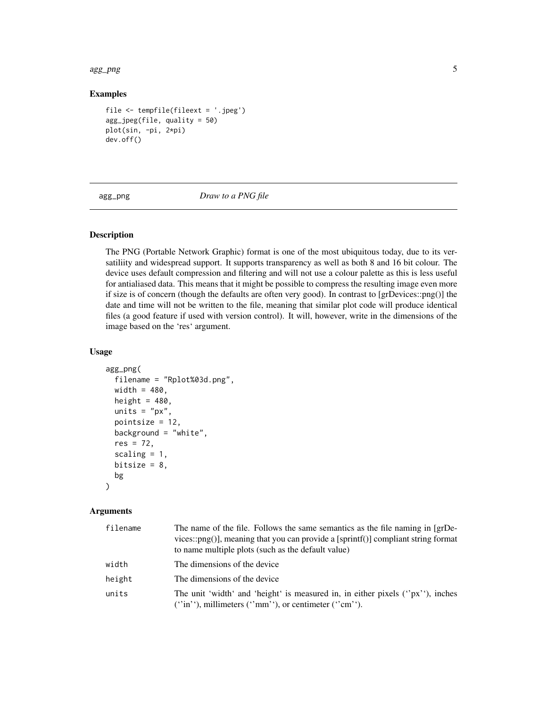<span id="page-4-0"></span>agg\_png 5

#### Examples

```
file <- tempfile(fileext = '.jpeg')
agg_jpeg(file, quality = 50)
plot(sin, -pi, 2*pi)
dev.off()
```
agg\_png *Draw to a PNG file*

#### Description

The PNG (Portable Network Graphic) format is one of the most ubiquitous today, due to its versatiliity and widespread support. It supports transparency as well as both 8 and 16 bit colour. The device uses default compression and filtering and will not use a colour palette as this is less useful for antialiased data. This means that it might be possible to compress the resulting image even more if size is of concern (though the defaults are often very good). In contrast to [grDevices::png()] the date and time will not be written to the file, meaning that similar plot code will produce identical files (a good feature if used with version control). It will, however, write in the dimensions of the image based on the 'res' argument.

#### Usage

```
agg_png(
  filename = "Rplot%03d.png",
 width = 480,
 height = 480,
  units = "px",pointsize = 12,
 background = "white",
  res = 72,
  scaling = 1,
 bitsize = 8,
 bg
)
```
#### Arguments

| filename | The name of the file. Follows the same semantics as the file naming in [grDe-<br>vices:: $\text{png}()$ , meaning that you can provide a [sprintf()] compliant string format<br>to name multiple plots (such as the default value) |
|----------|------------------------------------------------------------------------------------------------------------------------------------------------------------------------------------------------------------------------------------|
| width    | The dimensions of the device                                                                                                                                                                                                       |
| height   | The dimensions of the device                                                                                                                                                                                                       |
| units    | The unit 'width' and 'height' is measured in, in either pixels $("px")$ , inches<br>$('in');$ millimeters $('mm');$ or centimeter $('cm').$                                                                                        |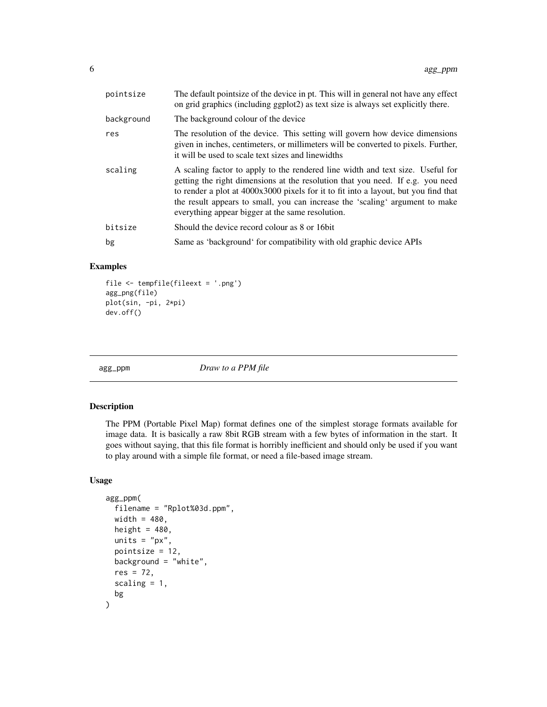<span id="page-5-0"></span>

| pointsize  | The default pointsize of the device in pt. This will in general not have any effect<br>on grid graphics (including ggplot2) as text size is always set explicitly there.                                                                                                                                                                                                                    |
|------------|---------------------------------------------------------------------------------------------------------------------------------------------------------------------------------------------------------------------------------------------------------------------------------------------------------------------------------------------------------------------------------------------|
| background | The background colour of the device                                                                                                                                                                                                                                                                                                                                                         |
| res        | The resolution of the device. This setting will govern how device dimensions<br>given in inches, centimeters, or millimeters will be converted to pixels. Further,<br>it will be used to scale text sizes and linewidths                                                                                                                                                                    |
| scaling    | A scaling factor to apply to the rendered line width and text size. Useful for<br>getting the right dimensions at the resolution that you need. If e.g. you need<br>to render a plot at 4000x3000 pixels for it to fit into a layout, but you find that<br>the result appears to small, you can increase the 'scaling' argument to make<br>everything appear bigger at the same resolution. |
| bitsize    | Should the device record colour as 8 or 16 bit                                                                                                                                                                                                                                                                                                                                              |
| bg         | Same as 'background' for compatibility with old graphic device APIs                                                                                                                                                                                                                                                                                                                         |

#### Examples

```
file <- tempfile(fileext = '.png')
agg_png(file)
plot(sin, -pi, 2*pi)
dev.off()
```
agg\_ppm *Draw to a PPM file*

#### Description

The PPM (Portable Pixel Map) format defines one of the simplest storage formats available for image data. It is basically a raw 8bit RGB stream with a few bytes of information in the start. It goes without saying, that this file format is horribly inefficient and should only be used if you want to play around with a simple file format, or need a file-based image stream.

#### Usage

```
agg_ppm(
  filename = "Rplot%03d.ppm",
 width = 480,
  height = 480,
  units = "px",
  pointsize = 12,
 background = "white",
  res = 72,
  scaling = 1,
  bg
)
```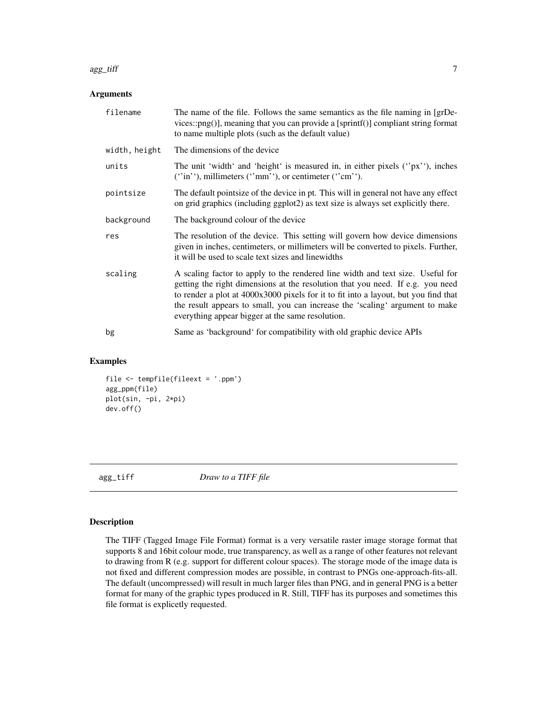#### <span id="page-6-0"></span>agg\_tiff  $\overline{7}$

#### Arguments

| filename      | The name of the file. Follows the same semantics as the file naming in [grDe-<br>vices::png()], meaning that you can provide a [sprintf()] compliant string format<br>to name multiple plots (such as the default value)                                                                                                                                                                    |
|---------------|---------------------------------------------------------------------------------------------------------------------------------------------------------------------------------------------------------------------------------------------------------------------------------------------------------------------------------------------------------------------------------------------|
| width, height | The dimensions of the device                                                                                                                                                                                                                                                                                                                                                                |
| units         | The unit 'width' and 'height' is measured in, in either pixels $('px')$ , inches<br>$('in');$ millimeters $('mm');$ or centimeter $('cm').$                                                                                                                                                                                                                                                 |
| pointsize     | The default pointsize of the device in pt. This will in general not have any effect<br>on grid graphics (including ggplot2) as text size is always set explicitly there.                                                                                                                                                                                                                    |
| background    | The background colour of the device                                                                                                                                                                                                                                                                                                                                                         |
| res           | The resolution of the device. This setting will govern how device dimensions<br>given in inches, centimeters, or millimeters will be converted to pixels. Further,<br>it will be used to scale text sizes and linewidths                                                                                                                                                                    |
| scaling       | A scaling factor to apply to the rendered line width and text size. Useful for<br>getting the right dimensions at the resolution that you need. If e.g. you need<br>to render a plot at 4000x3000 pixels for it to fit into a layout, but you find that<br>the result appears to small, you can increase the 'scaling' argument to make<br>everything appear bigger at the same resolution. |
| bg            | Same as 'background' for compatibility with old graphic device APIs                                                                                                                                                                                                                                                                                                                         |

#### Examples

```
file <- tempfile(fileext = '.ppm')
agg_ppm(file)
plot(sin, -pi, 2*pi)
dev.off()
```
agg\_tiff *Draw to a TIFF file*

#### Description

The TIFF (Tagged Image File Format) format is a very versatile raster image storage format that supports 8 and 16bit colour mode, true transparency, as well as a range of other features not relevant to drawing from R (e.g. support for different colour spaces). The storage mode of the image data is not fixed and different compression modes are possible, in contrast to PNGs one-approach-fits-all. The default (uncompressed) will result in much larger files than PNG, and in general PNG is a better format for many of the graphic types produced in R. Still, TIFF has its purposes and sometimes this file format is explicetly requested.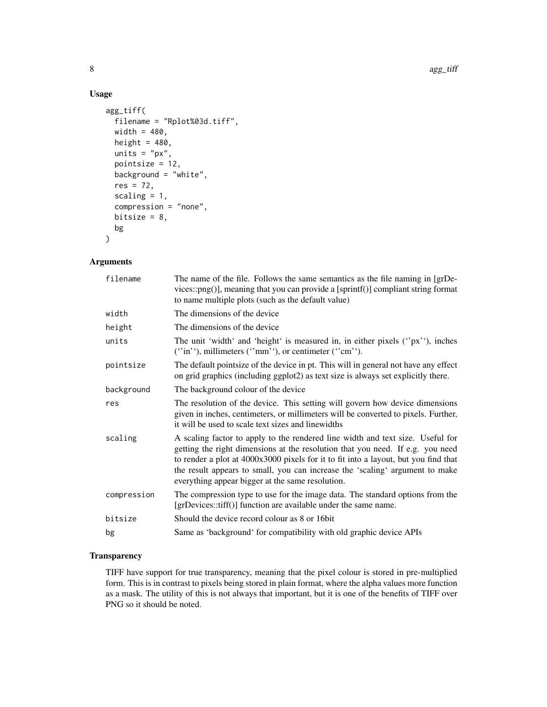#### Usage

```
agg_tiff(
 filename = "Rplot%03d.tiff",
 width = 480,
 height = 480,
 units = "px",pointsize = 12,
 background = "white",
 res = 72,
 scaling = 1,
  compression = "none",
 bitsize = 8,
 bg
)
```
#### Arguments

| The name of the file. Follows the same semantics as the file naming in [grDe-<br>vices::png()], meaning that you can provide a [sprintf()] compliant string format<br>to name multiple plots (such as the default value)                                                                                                                                                                    |
|---------------------------------------------------------------------------------------------------------------------------------------------------------------------------------------------------------------------------------------------------------------------------------------------------------------------------------------------------------------------------------------------|
| The dimensions of the device                                                                                                                                                                                                                                                                                                                                                                |
| The dimensions of the device                                                                                                                                                                                                                                                                                                                                                                |
| The unit 'width' and 'height' is measured in, in either pixels $('px')$ , inches<br>$('in');$ millimeters $('mm');$ or centimeter $('cm');$ .                                                                                                                                                                                                                                               |
| The default pointsize of the device in pt. This will in general not have any effect<br>on grid graphics (including ggplot2) as text size is always set explicitly there.                                                                                                                                                                                                                    |
| The background colour of the device                                                                                                                                                                                                                                                                                                                                                         |
| The resolution of the device. This setting will govern how device dimensions<br>given in inches, centimeters, or millimeters will be converted to pixels. Further,<br>it will be used to scale text sizes and linewidths                                                                                                                                                                    |
| A scaling factor to apply to the rendered line width and text size. Useful for<br>getting the right dimensions at the resolution that you need. If e.g. you need<br>to render a plot at 4000x3000 pixels for it to fit into a layout, but you find that<br>the result appears to small, you can increase the 'scaling' argument to make<br>everything appear bigger at the same resolution. |
| The compression type to use for the image data. The standard options from the<br>[grDevices::tiff()] function are available under the same name.                                                                                                                                                                                                                                            |
| Should the device record colour as 8 or 16 bit                                                                                                                                                                                                                                                                                                                                              |
| Same as 'background' for compatibility with old graphic device APIs                                                                                                                                                                                                                                                                                                                         |
|                                                                                                                                                                                                                                                                                                                                                                                             |

#### **Transparency**

TIFF have support for true transparency, meaning that the pixel colour is stored in pre-multiplied form. This is in contrast to pixels being stored in plain format, where the alpha values more function as a mask. The utility of this is not always that important, but it is one of the benefits of TIFF over PNG so it should be noted.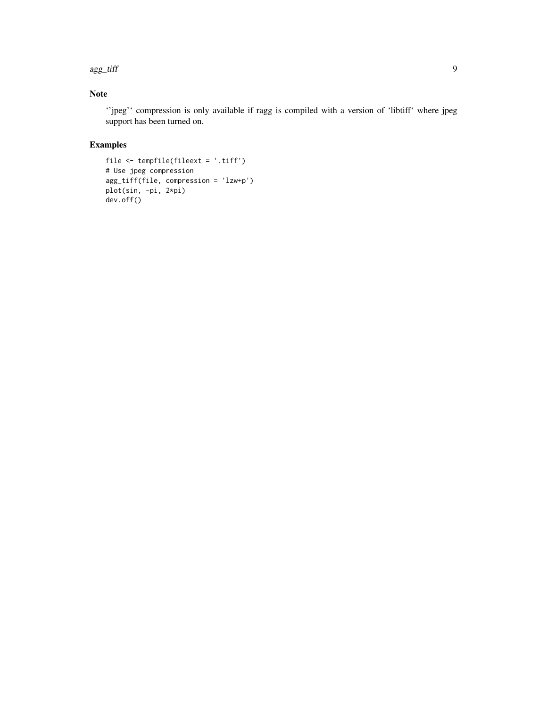agg\_tiff 9

#### Note

''jpeg'' compression is only available if ragg is compiled with a version of 'libtiff' where jpeg support has been turned on.

#### Examples

```
file <- tempfile(fileext = '.tiff')
# Use jpeg compression
agg_tiff(file, compression = 'lzw+p')
plot(sin, -pi, 2*pi)
dev.off()
```